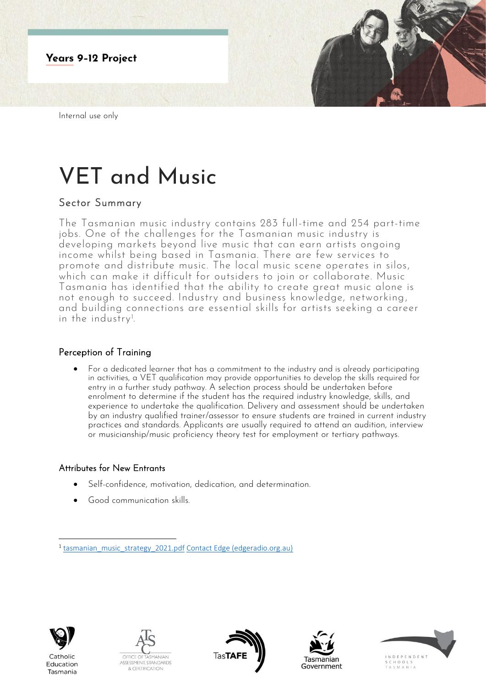

# VET and Music

# Sector Summary

The Tasmanian music industry contains 283 full-time and 254 part-time jobs. One of the challenges for the Tasmanian music industry is developing markets beyond live music that can earn artists ongoing income whilst being based in Tasmania. There are few services to promote and distribute music. The local music scene operates in silos, which can make it difficult for outsiders to join or collaborate. Music Tasmania has identified that the ability to create great music alone is not enough to succeed. Industry and business knowledge, networking, and building connections are essential skills for artists seeking a career in the industry<sup>1</sup>. .

### Perception of Training

• For a dedicated learner that has a commitment to the industry and is already participating in activities, a VET qualification may provide opportunities to develop the skills required for entry in a further study pathway. A selection process should be undertaken before enrolment to determine if the student has the required industry knowledge, skills, and experience to undertake the qualification. Delivery and assessment should be undertaken by an industry qualified trainer/assessor to ensure students are trained in current industry practices and standards. Applicants are usually required to attend an audition, interview or musicianship/music proficiency theory test for employment or tertiary pathways.

#### Attributes for New Entrants

- Self-confidence, motivation, dedication, and determination.
- Good communication skills.



Education

Tasmania

OFFICE C ASSESSMENT, STANDARDS **& CERTIFICATION** 







<sup>&</sup>lt;sup>1</sup> [tasmanian\\_music\\_strategy\\_2021.pdf](file:///C:/Users/tracey.taylor1/OneDrive%20-%20Department%20of%20Education/Desktop/tasmanian_music_strategy_2021.pdf) [Contact Edge \(edgeradio.org.au\)](https://www.edgeradio.org.au/contact-edge.html)